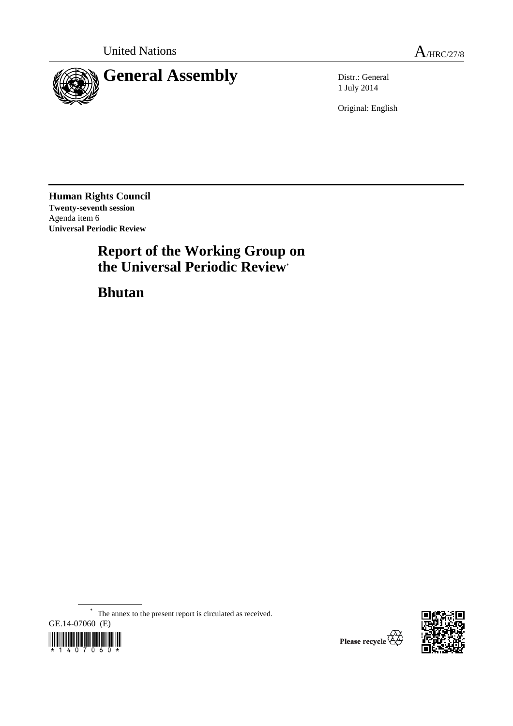

1 July 2014

Original: English

**Human Rights Council Twenty-seventh session**  Agenda item 6 **Universal Periodic Review** 

# **Report of the Working Group on the Universal Periodic Review**\*

 **Bhutan** 

\* The annex to the present report is circulated as received.





Please recycle  $\overleftrightarrow{G}$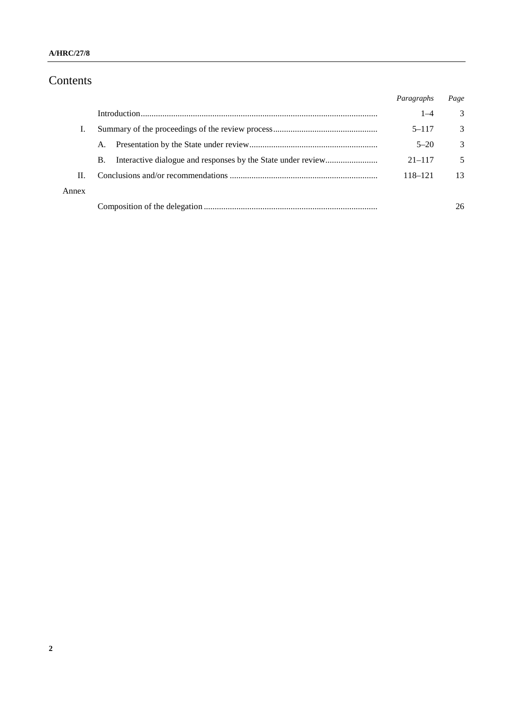# Contents

|       |    | Paragraphs | Page |
|-------|----|------------|------|
|       |    | $1 - 4$    | 3    |
|       |    | $5 - 117$  | 3    |
|       | A. | $5 - 20$   | 3    |
|       | B. | $21 - 117$ | 5    |
| H.    |    | 118-121    | 13   |
| Annex |    |            |      |
|       |    |            | 26   |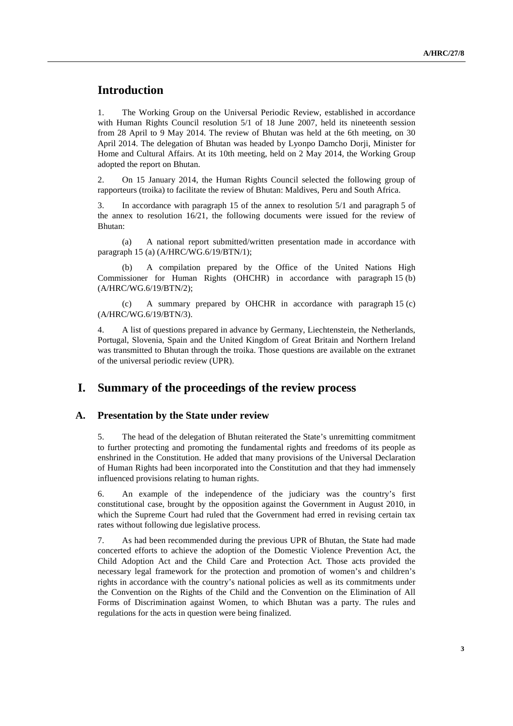### **Introduction**

1. The Working Group on the Universal Periodic Review, established in accordance with Human Rights Council resolution 5/1 of 18 June 2007, held its nineteenth session from 28 April to 9 May 2014. The review of Bhutan was held at the 6th meeting, on 30 April 2014. The delegation of Bhutan was headed by Lyonpo Damcho Dorji, Minister for Home and Cultural Affairs. At its 10th meeting, held on 2 May 2014, the Working Group adopted the report on Bhutan.

2. On 15 January 2014, the Human Rights Council selected the following group of rapporteurs (troika) to facilitate the review of Bhutan: Maldives, Peru and South Africa.

3. In accordance with paragraph 15 of the annex to resolution 5/1 and paragraph 5 of the annex to resolution 16/21, the following documents were issued for the review of Bhutan:

(a) A national report submitted/written presentation made in accordance with paragraph 15 (a) (A/HRC/WG.6/19/BTN/1);

 (b) A compilation prepared by the Office of the United Nations High Commissioner for Human Rights (OHCHR) in accordance with paragraph 15 (b) (A/HRC/WG.6/19/BTN/2);

(c) A summary prepared by OHCHR in accordance with paragraph 15 (c) (A/HRC/WG.6/19/BTN/3).

4. A list of questions prepared in advance by Germany, Liechtenstein, the Netherlands, Portugal, Slovenia, Spain and the United Kingdom of Great Britain and Northern Ireland was transmitted to Bhutan through the troika. Those questions are available on the extranet of the universal periodic review (UPR).

### **I. Summary of the proceedings of the review process**

#### **A. Presentation by the State under review**

5. The head of the delegation of Bhutan reiterated the State's unremitting commitment to further protecting and promoting the fundamental rights and freedoms of its people as enshrined in the Constitution. He added that many provisions of the Universal Declaration of Human Rights had been incorporated into the Constitution and that they had immensely influenced provisions relating to human rights.

6. An example of the independence of the judiciary was the country's first constitutional case, brought by the opposition against the Government in August 2010, in which the Supreme Court had ruled that the Government had erred in revising certain tax rates without following due legislative process.

7. As had been recommended during the previous UPR of Bhutan, the State had made concerted efforts to achieve the adoption of the Domestic Violence Prevention Act, the Child Adoption Act and the Child Care and Protection Act. Those acts provided the necessary legal framework for the protection and promotion of women's and children's rights in accordance with the country's national policies as well as its commitments under the Convention on the Rights of the Child and the Convention on the Elimination of All Forms of Discrimination against Women, to which Bhutan was a party. The rules and regulations for the acts in question were being finalized.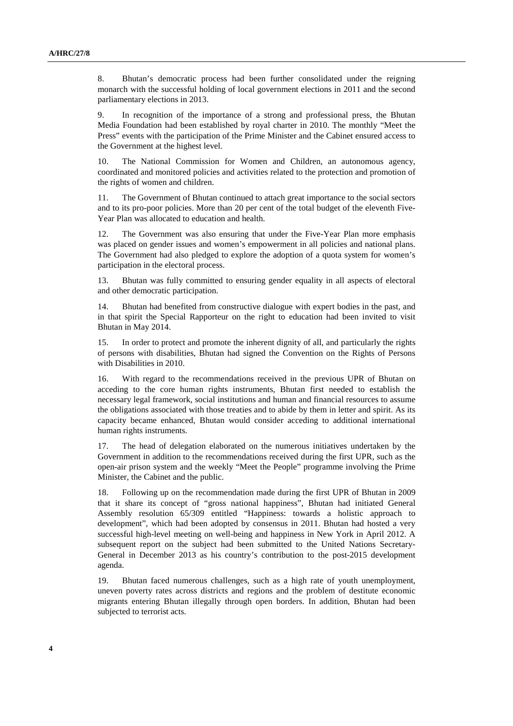8. Bhutan's democratic process had been further consolidated under the reigning monarch with the successful holding of local government elections in 2011 and the second parliamentary elections in 2013.

9. In recognition of the importance of a strong and professional press, the Bhutan Media Foundation had been established by royal charter in 2010. The monthly "Meet the Press" events with the participation of the Prime Minister and the Cabinet ensured access to the Government at the highest level.

10. The National Commission for Women and Children, an autonomous agency, coordinated and monitored policies and activities related to the protection and promotion of the rights of women and children.

11. The Government of Bhutan continued to attach great importance to the social sectors and to its pro-poor policies. More than 20 per cent of the total budget of the eleventh Five-Year Plan was allocated to education and health.

12. The Government was also ensuring that under the Five-Year Plan more emphasis was placed on gender issues and women's empowerment in all policies and national plans. The Government had also pledged to explore the adoption of a quota system for women's participation in the electoral process.

13. Bhutan was fully committed to ensuring gender equality in all aspects of electoral and other democratic participation.

14. Bhutan had benefited from constructive dialogue with expert bodies in the past, and in that spirit the Special Rapporteur on the right to education had been invited to visit Bhutan in May 2014.

15. In order to protect and promote the inherent dignity of all, and particularly the rights of persons with disabilities, Bhutan had signed the Convention on the Rights of Persons with Disabilities in 2010.

16. With regard to the recommendations received in the previous UPR of Bhutan on acceding to the core human rights instruments, Bhutan first needed to establish the necessary legal framework, social institutions and human and financial resources to assume the obligations associated with those treaties and to abide by them in letter and spirit. As its capacity became enhanced, Bhutan would consider acceding to additional international human rights instruments.

17. The head of delegation elaborated on the numerous initiatives undertaken by the Government in addition to the recommendations received during the first UPR, such as the open-air prison system and the weekly "Meet the People" programme involving the Prime Minister, the Cabinet and the public.

18. Following up on the recommendation made during the first UPR of Bhutan in 2009 that it share its concept of "gross national happiness", Bhutan had initiated General Assembly resolution 65/309 entitled "Happiness: towards a holistic approach to development", which had been adopted by consensus in 2011. Bhutan had hosted a very successful high-level meeting on well-being and happiness in New York in April 2012. A subsequent report on the subject had been submitted to the United Nations Secretary-General in December 2013 as his country's contribution to the post-2015 development agenda.

19. Bhutan faced numerous challenges, such as a high rate of youth unemployment, uneven poverty rates across districts and regions and the problem of destitute economic migrants entering Bhutan illegally through open borders. In addition, Bhutan had been subjected to terrorist acts.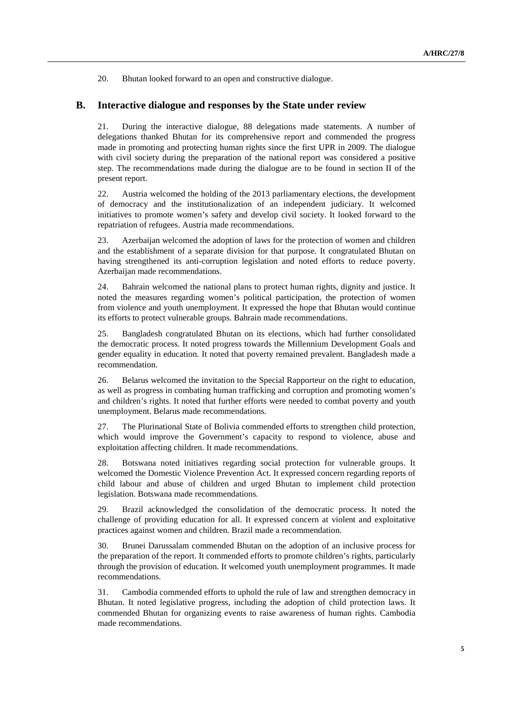20. Bhutan looked forward to an open and constructive dialogue.

#### **B. Interactive dialogue and responses by the State under review**

21. During the interactive dialogue, 88 delegations made statements. A number of delegations thanked Bhutan for its comprehensive report and commended the progress made in promoting and protecting human rights since the first UPR in 2009. The dialogue with civil society during the preparation of the national report was considered a positive step. The recommendations made during the dialogue are to be found in section II of the present report.

22. Austria welcomed the holding of the 2013 parliamentary elections, the development of democracy and the institutionalization of an independent judiciary. It welcomed initiatives to promote women's safety and develop civil society. It looked forward to the repatriation of refugees. Austria made recommendations.

23. Azerbaijan welcomed the adoption of laws for the protection of women and children and the establishment of a separate division for that purpose. It congratulated Bhutan on having strengthened its anti-corruption legislation and noted efforts to reduce poverty. Azerbaijan made recommendations.

24. Bahrain welcomed the national plans to protect human rights, dignity and justice. It noted the measures regarding women's political participation, the protection of women from violence and youth unemployment. It expressed the hope that Bhutan would continue its efforts to protect vulnerable groups. Bahrain made recommendations.

25. Bangladesh congratulated Bhutan on its elections, which had further consolidated the democratic process. It noted progress towards the Millennium Development Goals and gender equality in education. It noted that poverty remained prevalent. Bangladesh made a recommendation.

26. Belarus welcomed the invitation to the Special Rapporteur on the right to education, as well as progress in combating human trafficking and corruption and promoting women's and children's rights. It noted that further efforts were needed to combat poverty and youth unemployment. Belarus made recommendations.

27. The Plurinational State of Bolivia commended efforts to strengthen child protection, which would improve the Government's capacity to respond to violence, abuse and exploitation affecting children. It made recommendations.

28. Botswana noted initiatives regarding social protection for vulnerable groups. It welcomed the Domestic Violence Prevention Act. It expressed concern regarding reports of child labour and abuse of children and urged Bhutan to implement child protection legislation. Botswana made recommendations.

29. Brazil acknowledged the consolidation of the democratic process. It noted the challenge of providing education for all. It expressed concern at violent and exploitative practices against women and children. Brazil made a recommendation.

30. Brunei Darussalam commended Bhutan on the adoption of an inclusive process for the preparation of the report. It commended efforts to promote children's rights, particularly through the provision of education. It welcomed youth unemployment programmes. It made recommendations.

31. Cambodia commended efforts to uphold the rule of law and strengthen democracy in Bhutan. It noted legislative progress, including the adoption of child protection laws. It commended Bhutan for organizing events to raise awareness of human rights. Cambodia made recommendations.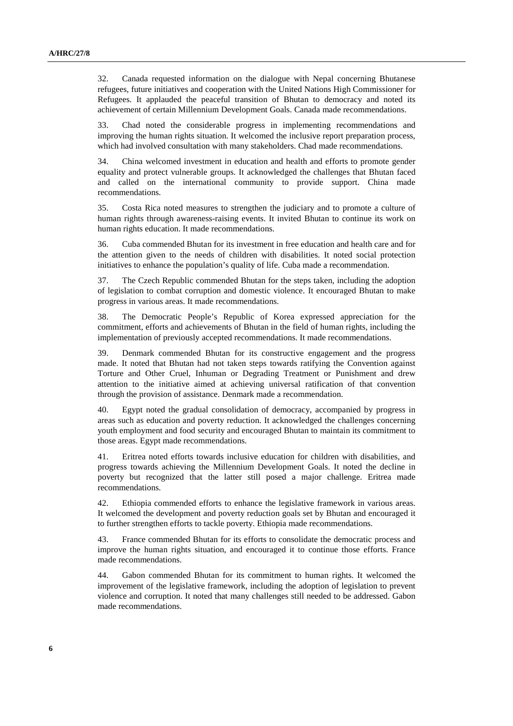32. Canada requested information on the dialogue with Nepal concerning Bhutanese refugees, future initiatives and cooperation with the United Nations High Commissioner for Refugees. It applauded the peaceful transition of Bhutan to democracy and noted its achievement of certain Millennium Development Goals. Canada made recommendations.

33. Chad noted the considerable progress in implementing recommendations and improving the human rights situation. It welcomed the inclusive report preparation process, which had involved consultation with many stakeholders. Chad made recommendations.

34. China welcomed investment in education and health and efforts to promote gender equality and protect vulnerable groups. It acknowledged the challenges that Bhutan faced and called on the international community to provide support. China made recommendations.

35. Costa Rica noted measures to strengthen the judiciary and to promote a culture of human rights through awareness-raising events. It invited Bhutan to continue its work on human rights education. It made recommendations.

36. Cuba commended Bhutan for its investment in free education and health care and for the attention given to the needs of children with disabilities. It noted social protection initiatives to enhance the population's quality of life. Cuba made a recommendation.

37. The Czech Republic commended Bhutan for the steps taken, including the adoption of legislation to combat corruption and domestic violence. It encouraged Bhutan to make progress in various areas. It made recommendations.

38. The Democratic People's Republic of Korea expressed appreciation for the commitment, efforts and achievements of Bhutan in the field of human rights, including the implementation of previously accepted recommendations. It made recommendations.

39. Denmark commended Bhutan for its constructive engagement and the progress made. It noted that Bhutan had not taken steps towards ratifying the Convention against Torture and Other Cruel, Inhuman or Degrading Treatment or Punishment and drew attention to the initiative aimed at achieving universal ratification of that convention through the provision of assistance. Denmark made a recommendation.

40. Egypt noted the gradual consolidation of democracy, accompanied by progress in areas such as education and poverty reduction. It acknowledged the challenges concerning youth employment and food security and encouraged Bhutan to maintain its commitment to those areas. Egypt made recommendations.

41. Eritrea noted efforts towards inclusive education for children with disabilities, and progress towards achieving the Millennium Development Goals. It noted the decline in poverty but recognized that the latter still posed a major challenge. Eritrea made recommendations.

42. Ethiopia commended efforts to enhance the legislative framework in various areas. It welcomed the development and poverty reduction goals set by Bhutan and encouraged it to further strengthen efforts to tackle poverty. Ethiopia made recommendations.

43. France commended Bhutan for its efforts to consolidate the democratic process and improve the human rights situation, and encouraged it to continue those efforts. France made recommendations.

44. Gabon commended Bhutan for its commitment to human rights. It welcomed the improvement of the legislative framework, including the adoption of legislation to prevent violence and corruption. It noted that many challenges still needed to be addressed. Gabon made recommendations.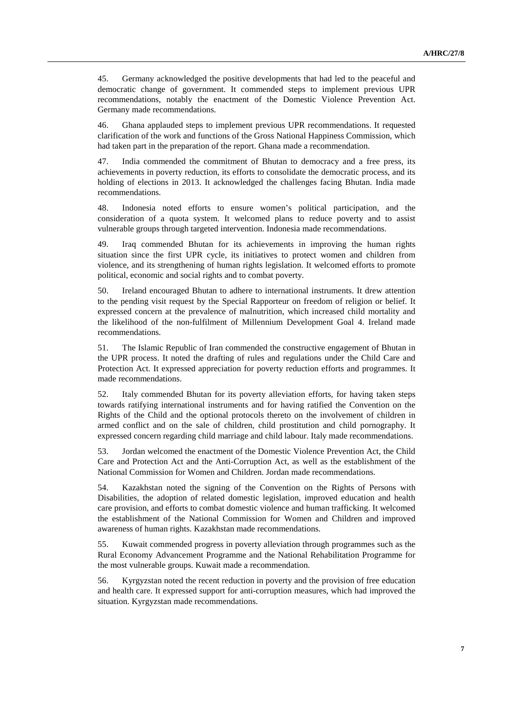45. Germany acknowledged the positive developments that had led to the peaceful and democratic change of government. It commended steps to implement previous UPR recommendations, notably the enactment of the Domestic Violence Prevention Act. Germany made recommendations.

46. Ghana applauded steps to implement previous UPR recommendations. It requested clarification of the work and functions of the Gross National Happiness Commission, which had taken part in the preparation of the report. Ghana made a recommendation.

47. India commended the commitment of Bhutan to democracy and a free press, its achievements in poverty reduction, its efforts to consolidate the democratic process, and its holding of elections in 2013. It acknowledged the challenges facing Bhutan. India made recommendations.

48. Indonesia noted efforts to ensure women's political participation, and the consideration of a quota system. It welcomed plans to reduce poverty and to assist vulnerable groups through targeted intervention. Indonesia made recommendations.

49. Iraq commended Bhutan for its achievements in improving the human rights situation since the first UPR cycle, its initiatives to protect women and children from violence, and its strengthening of human rights legislation. It welcomed efforts to promote political, economic and social rights and to combat poverty.

50. Ireland encouraged Bhutan to adhere to international instruments. It drew attention to the pending visit request by the Special Rapporteur on freedom of religion or belief. It expressed concern at the prevalence of malnutrition, which increased child mortality and the likelihood of the non-fulfilment of Millennium Development Goal 4. Ireland made recommendations.

51. The Islamic Republic of Iran commended the constructive engagement of Bhutan in the UPR process. It noted the drafting of rules and regulations under the Child Care and Protection Act. It expressed appreciation for poverty reduction efforts and programmes. It made recommendations.

52. Italy commended Bhutan for its poverty alleviation efforts, for having taken steps towards ratifying international instruments and for having ratified the Convention on the Rights of the Child and the optional protocols thereto on the involvement of children in armed conflict and on the sale of children, child prostitution and child pornography. It expressed concern regarding child marriage and child labour. Italy made recommendations.

53. Jordan welcomed the enactment of the Domestic Violence Prevention Act, the Child Care and Protection Act and the Anti-Corruption Act, as well as the establishment of the National Commission for Women and Children. Jordan made recommendations.

54. Kazakhstan noted the signing of the Convention on the Rights of Persons with Disabilities, the adoption of related domestic legislation, improved education and health care provision, and efforts to combat domestic violence and human trafficking. It welcomed the establishment of the National Commission for Women and Children and improved awareness of human rights. Kazakhstan made recommendations.

55. Kuwait commended progress in poverty alleviation through programmes such as the Rural Economy Advancement Programme and the National Rehabilitation Programme for the most vulnerable groups. Kuwait made a recommendation.

56. Kyrgyzstan noted the recent reduction in poverty and the provision of free education and health care. It expressed support for anti-corruption measures, which had improved the situation. Kyrgyzstan made recommendations.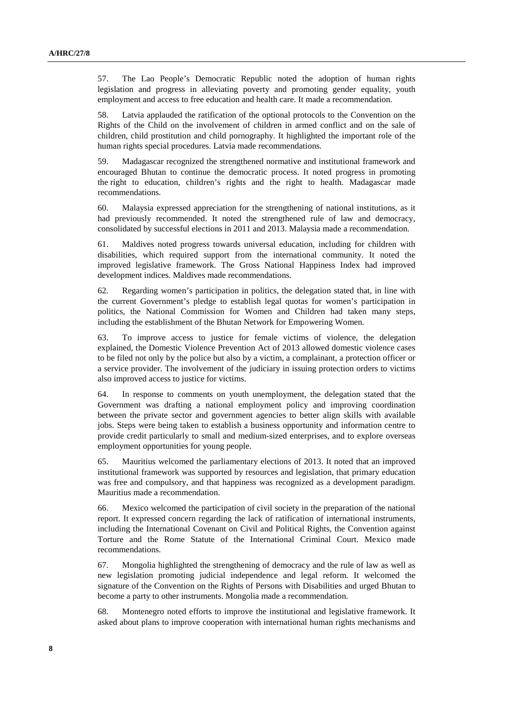57. The Lao People's Democratic Republic noted the adoption of human rights legislation and progress in alleviating poverty and promoting gender equality, youth employment and access to free education and health care. It made a recommendation.

58. Latvia applauded the ratification of the optional protocols to the Convention on the Rights of the Child on the involvement of children in armed conflict and on the sale of children, child prostitution and child pornography. It highlighted the important role of the human rights special procedures. Latvia made recommendations.

59. Madagascar recognized the strengthened normative and institutional framework and encouraged Bhutan to continue the democratic process. It noted progress in promoting the right to education, children's rights and the right to health. Madagascar made recommendations.

60. Malaysia expressed appreciation for the strengthening of national institutions, as it had previously recommended. It noted the strengthened rule of law and democracy, consolidated by successful elections in 2011 and 2013. Malaysia made a recommendation.

61. Maldives noted progress towards universal education, including for children with disabilities, which required support from the international community. It noted the improved legislative framework. The Gross National Happiness Index had improved development indices. Maldives made recommendations.

62. Regarding women's participation in politics, the delegation stated that, in line with the current Government's pledge to establish legal quotas for women's participation in politics, the National Commission for Women and Children had taken many steps, including the establishment of the Bhutan Network for Empowering Women.

63. To improve access to justice for female victims of violence, the delegation explained, the Domestic Violence Prevention Act of 2013 allowed domestic violence cases to be filed not only by the police but also by a victim, a complainant, a protection officer or a service provider. The involvement of the judiciary in issuing protection orders to victims also improved access to justice for victims.

64. In response to comments on youth unemployment, the delegation stated that the Government was drafting a national employment policy and improving coordination between the private sector and government agencies to better align skills with available jobs. Steps were being taken to establish a business opportunity and information centre to provide credit particularly to small and medium-sized enterprises, and to explore overseas employment opportunities for young people.

65. Mauritius welcomed the parliamentary elections of 2013. It noted that an improved institutional framework was supported by resources and legislation, that primary education was free and compulsory, and that happiness was recognized as a development paradigm. Mauritius made a recommendation.

66. Mexico welcomed the participation of civil society in the preparation of the national report. It expressed concern regarding the lack of ratification of international instruments, including the International Covenant on Civil and Political Rights, the Convention against Torture and the Rome Statute of the International Criminal Court. Mexico made recommendations.

67. Mongolia highlighted the strengthening of democracy and the rule of law as well as new legislation promoting judicial independence and legal reform. It welcomed the signature of the Convention on the Rights of Persons with Disabilities and urged Bhutan to become a party to other instruments. Mongolia made a recommendation.

68. Montenegro noted efforts to improve the institutional and legislative framework. It asked about plans to improve cooperation with international human rights mechanisms and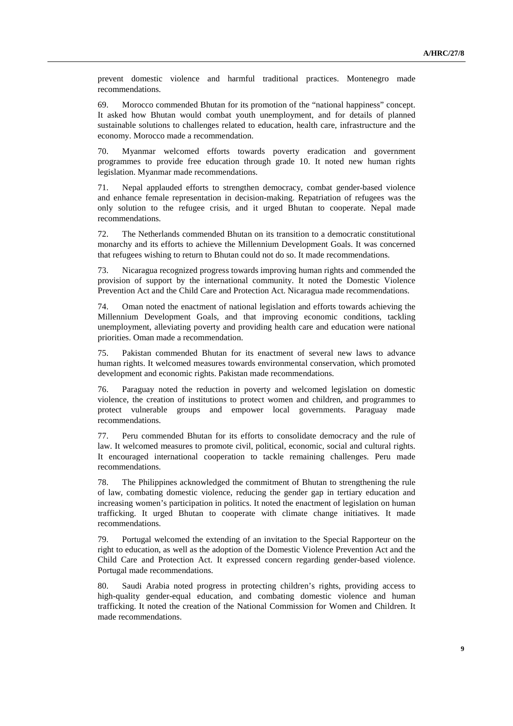prevent domestic violence and harmful traditional practices. Montenegro made recommendations.

69. Morocco commended Bhutan for its promotion of the "national happiness" concept. It asked how Bhutan would combat youth unemployment, and for details of planned sustainable solutions to challenges related to education, health care, infrastructure and the economy. Morocco made a recommendation.

70. Myanmar welcomed efforts towards poverty eradication and government programmes to provide free education through grade 10. It noted new human rights legislation. Myanmar made recommendations.

71. Nepal applauded efforts to strengthen democracy, combat gender-based violence and enhance female representation in decision-making. Repatriation of refugees was the only solution to the refugee crisis, and it urged Bhutan to cooperate. Nepal made recommendations.

72. The Netherlands commended Bhutan on its transition to a democratic constitutional monarchy and its efforts to achieve the Millennium Development Goals. It was concerned that refugees wishing to return to Bhutan could not do so. It made recommendations.

73. Nicaragua recognized progress towards improving human rights and commended the provision of support by the international community. It noted the Domestic Violence Prevention Act and the Child Care and Protection Act. Nicaragua made recommendations.

74. Oman noted the enactment of national legislation and efforts towards achieving the Millennium Development Goals, and that improving economic conditions, tackling unemployment, alleviating poverty and providing health care and education were national priorities. Oman made a recommendation.

75. Pakistan commended Bhutan for its enactment of several new laws to advance human rights. It welcomed measures towards environmental conservation, which promoted development and economic rights. Pakistan made recommendations.

76. Paraguay noted the reduction in poverty and welcomed legislation on domestic violence, the creation of institutions to protect women and children, and programmes to protect vulnerable groups and empower local governments. Paraguay made recommendations.

77. Peru commended Bhutan for its efforts to consolidate democracy and the rule of law. It welcomed measures to promote civil, political, economic, social and cultural rights. It encouraged international cooperation to tackle remaining challenges. Peru made recommendations.

78. The Philippines acknowledged the commitment of Bhutan to strengthening the rule of law, combating domestic violence, reducing the gender gap in tertiary education and increasing women's participation in politics. It noted the enactment of legislation on human trafficking. It urged Bhutan to cooperate with climate change initiatives. It made recommendations.

79. Portugal welcomed the extending of an invitation to the Special Rapporteur on the right to education, as well as the adoption of the Domestic Violence Prevention Act and the Child Care and Protection Act. It expressed concern regarding gender-based violence. Portugal made recommendations.

80. Saudi Arabia noted progress in protecting children's rights, providing access to high-quality gender-equal education, and combating domestic violence and human trafficking. It noted the creation of the National Commission for Women and Children. It made recommendations.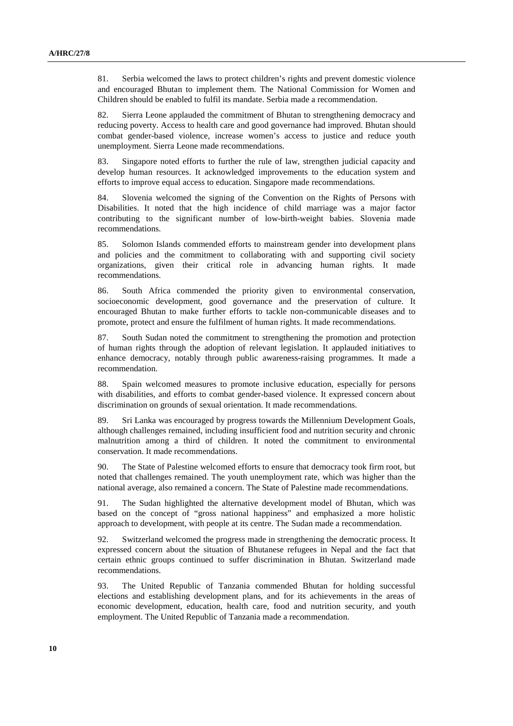81. Serbia welcomed the laws to protect children's rights and prevent domestic violence and encouraged Bhutan to implement them. The National Commission for Women and Children should be enabled to fulfil its mandate. Serbia made a recommendation.

82. Sierra Leone applauded the commitment of Bhutan to strengthening democracy and reducing poverty. Access to health care and good governance had improved. Bhutan should combat gender-based violence, increase women's access to justice and reduce youth unemployment. Sierra Leone made recommendations.

83. Singapore noted efforts to further the rule of law, strengthen judicial capacity and develop human resources. It acknowledged improvements to the education system and efforts to improve equal access to education. Singapore made recommendations.

84. Slovenia welcomed the signing of the Convention on the Rights of Persons with Disabilities. It noted that the high incidence of child marriage was a major factor contributing to the significant number of low-birth-weight babies. Slovenia made recommendations.

85. Solomon Islands commended efforts to mainstream gender into development plans and policies and the commitment to collaborating with and supporting civil society organizations, given their critical role in advancing human rights. It made recommendations.

86. South Africa commended the priority given to environmental conservation, socioeconomic development, good governance and the preservation of culture. It encouraged Bhutan to make further efforts to tackle non-communicable diseases and to promote, protect and ensure the fulfilment of human rights. It made recommendations.

87. South Sudan noted the commitment to strengthening the promotion and protection of human rights through the adoption of relevant legislation. It applauded initiatives to enhance democracy, notably through public awareness-raising programmes. It made a recommendation.

88. Spain welcomed measures to promote inclusive education, especially for persons with disabilities, and efforts to combat gender-based violence. It expressed concern about discrimination on grounds of sexual orientation. It made recommendations.

89. Sri Lanka was encouraged by progress towards the Millennium Development Goals, although challenges remained, including insufficient food and nutrition security and chronic malnutrition among a third of children. It noted the commitment to environmental conservation. It made recommendations.

90. The State of Palestine welcomed efforts to ensure that democracy took firm root, but noted that challenges remained. The youth unemployment rate, which was higher than the national average, also remained a concern. The State of Palestine made recommendations.

91. The Sudan highlighted the alternative development model of Bhutan, which was based on the concept of "gross national happiness" and emphasized a more holistic approach to development, with people at its centre. The Sudan made a recommendation.

92. Switzerland welcomed the progress made in strengthening the democratic process. It expressed concern about the situation of Bhutanese refugees in Nepal and the fact that certain ethnic groups continued to suffer discrimination in Bhutan. Switzerland made recommendations.

93. The United Republic of Tanzania commended Bhutan for holding successful elections and establishing development plans, and for its achievements in the areas of economic development, education, health care, food and nutrition security, and youth employment. The United Republic of Tanzania made a recommendation.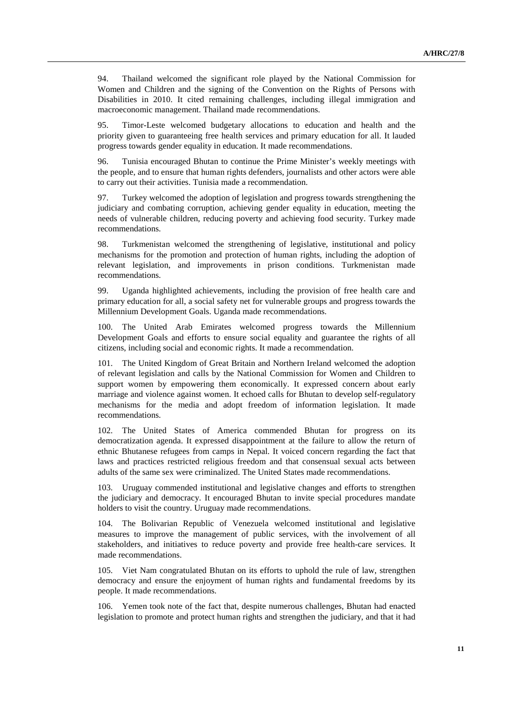94. Thailand welcomed the significant role played by the National Commission for Women and Children and the signing of the Convention on the Rights of Persons with Disabilities in 2010. It cited remaining challenges, including illegal immigration and macroeconomic management. Thailand made recommendations.

95. Timor-Leste welcomed budgetary allocations to education and health and the priority given to guaranteeing free health services and primary education for all. It lauded progress towards gender equality in education. It made recommendations.

96. Tunisia encouraged Bhutan to continue the Prime Minister's weekly meetings with the people, and to ensure that human rights defenders, journalists and other actors were able to carry out their activities. Tunisia made a recommendation.

97. Turkey welcomed the adoption of legislation and progress towards strengthening the judiciary and combating corruption, achieving gender equality in education, meeting the needs of vulnerable children, reducing poverty and achieving food security. Turkey made recommendations.

98. Turkmenistan welcomed the strengthening of legislative, institutional and policy mechanisms for the promotion and protection of human rights, including the adoption of relevant legislation, and improvements in prison conditions. Turkmenistan made recommendations.

99. Uganda highlighted achievements, including the provision of free health care and primary education for all, a social safety net for vulnerable groups and progress towards the Millennium Development Goals. Uganda made recommendations.

100. The United Arab Emirates welcomed progress towards the Millennium Development Goals and efforts to ensure social equality and guarantee the rights of all citizens, including social and economic rights. It made a recommendation.

101. The United Kingdom of Great Britain and Northern Ireland welcomed the adoption of relevant legislation and calls by the National Commission for Women and Children to support women by empowering them economically. It expressed concern about early marriage and violence against women. It echoed calls for Bhutan to develop self-regulatory mechanisms for the media and adopt freedom of information legislation. It made recommendations.

102. The United States of America commended Bhutan for progress on its democratization agenda. It expressed disappointment at the failure to allow the return of ethnic Bhutanese refugees from camps in Nepal. It voiced concern regarding the fact that laws and practices restricted religious freedom and that consensual sexual acts between adults of the same sex were criminalized. The United States made recommendations.

103. Uruguay commended institutional and legislative changes and efforts to strengthen the judiciary and democracy. It encouraged Bhutan to invite special procedures mandate holders to visit the country. Uruguay made recommendations.

104. The Bolivarian Republic of Venezuela welcomed institutional and legislative measures to improve the management of public services, with the involvement of all stakeholders, and initiatives to reduce poverty and provide free health-care services. It made recommendations.

Viet Nam congratulated Bhutan on its efforts to uphold the rule of law, strengthen democracy and ensure the enjoyment of human rights and fundamental freedoms by its people. It made recommendations.

106. Yemen took note of the fact that, despite numerous challenges, Bhutan had enacted legislation to promote and protect human rights and strengthen the judiciary, and that it had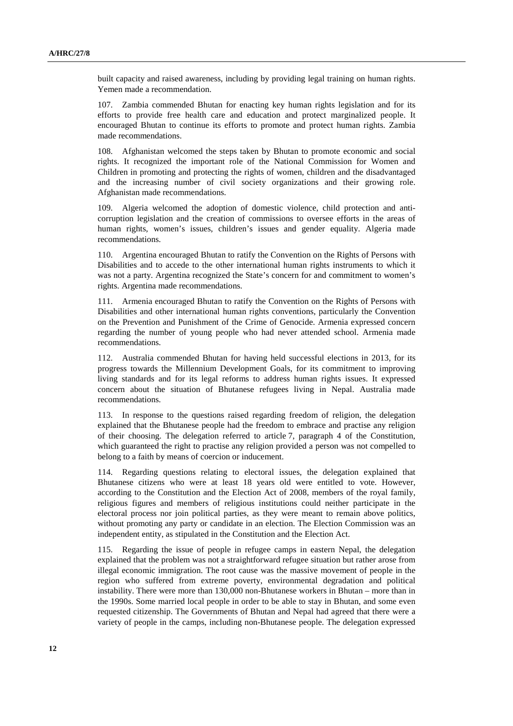built capacity and raised awareness, including by providing legal training on human rights. Yemen made a recommendation.

107. Zambia commended Bhutan for enacting key human rights legislation and for its efforts to provide free health care and education and protect marginalized people. It encouraged Bhutan to continue its efforts to promote and protect human rights. Zambia made recommendations.

108. Afghanistan welcomed the steps taken by Bhutan to promote economic and social rights. It recognized the important role of the National Commission for Women and Children in promoting and protecting the rights of women, children and the disadvantaged and the increasing number of civil society organizations and their growing role. Afghanistan made recommendations.

109. Algeria welcomed the adoption of domestic violence, child protection and anticorruption legislation and the creation of commissions to oversee efforts in the areas of human rights, women's issues, children's issues and gender equality. Algeria made recommendations.

110. Argentina encouraged Bhutan to ratify the Convention on the Rights of Persons with Disabilities and to accede to the other international human rights instruments to which it was not a party. Argentina recognized the State's concern for and commitment to women's rights. Argentina made recommendations.

111. Armenia encouraged Bhutan to ratify the Convention on the Rights of Persons with Disabilities and other international human rights conventions, particularly the Convention on the Prevention and Punishment of the Crime of Genocide. Armenia expressed concern regarding the number of young people who had never attended school. Armenia made recommendations.

112. Australia commended Bhutan for having held successful elections in 2013, for its progress towards the Millennium Development Goals, for its commitment to improving living standards and for its legal reforms to address human rights issues. It expressed concern about the situation of Bhutanese refugees living in Nepal. Australia made recommendations.

113. In response to the questions raised regarding freedom of religion, the delegation explained that the Bhutanese people had the freedom to embrace and practise any religion of their choosing. The delegation referred to article 7, paragraph 4 of the Constitution, which guaranteed the right to practise any religion provided a person was not compelled to belong to a faith by means of coercion or inducement.

114. Regarding questions relating to electoral issues, the delegation explained that Bhutanese citizens who were at least 18 years old were entitled to vote. However, according to the Constitution and the Election Act of 2008, members of the royal family, religious figures and members of religious institutions could neither participate in the electoral process nor join political parties, as they were meant to remain above politics, without promoting any party or candidate in an election. The Election Commission was an independent entity, as stipulated in the Constitution and the Election Act.

115. Regarding the issue of people in refugee camps in eastern Nepal, the delegation explained that the problem was not a straightforward refugee situation but rather arose from illegal economic immigration. The root cause was the massive movement of people in the region who suffered from extreme poverty, environmental degradation and political instability. There were more than 130,000 non-Bhutanese workers in Bhutan – more than in the 1990s. Some married local people in order to be able to stay in Bhutan, and some even requested citizenship. The Governments of Bhutan and Nepal had agreed that there were a variety of people in the camps, including non-Bhutanese people. The delegation expressed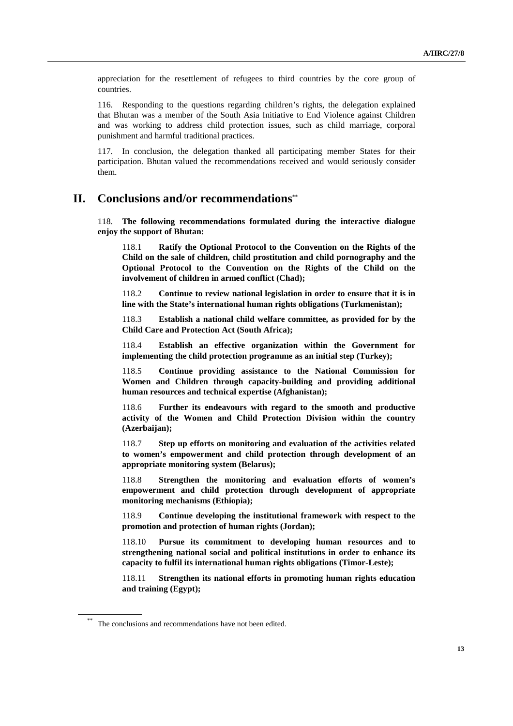appreciation for the resettlement of refugees to third countries by the core group of countries.

116. Responding to the questions regarding children's rights, the delegation explained that Bhutan was a member of the South Asia Initiative to End Violence against Children and was working to address child protection issues, such as child marriage, corporal punishment and harmful traditional practices.

117. In conclusion, the delegation thanked all participating member States for their participation. Bhutan valued the recommendations received and would seriously consider them.

#### **II. Conclusions and/or recommendations**\*\*

118. **The following recommendations formulated during the interactive dialogue enjoy the support of Bhutan:** 

118.1 **Ratify the Optional Protocol to the Convention on the Rights of the Child on the sale of children, child prostitution and child pornography and the Optional Protocol to the Convention on the Rights of the Child on the involvement of children in armed conflict (Chad);** 

118.2 **Continue to review national legislation in order to ensure that it is in line with the State's international human rights obligations (Turkmenistan);** 

118.3 **Establish a national child welfare committee, as provided for by the Child Care and Protection Act (South Africa);** 

118.4 **Establish an effective organization within the Government for implementing the child protection programme as an initial step (Turkey);** 

118.5 **Continue providing assistance to the National Commission for Women and Children through capacity-building and providing additional human resources and technical expertise (Afghanistan);** 

118.6 **Further its endeavours with regard to the smooth and productive activity of the Women and Child Protection Division within the country (Azerbaijan);** 

118.7 **Step up efforts on monitoring and evaluation of the activities related to women's empowerment and child protection through development of an appropriate monitoring system (Belarus);** 

118.8 **Strengthen the monitoring and evaluation efforts of women's empowerment and child protection through development of appropriate monitoring mechanisms (Ethiopia);** 

118.9 **Continue developing the institutional framework with respect to the promotion and protection of human rights (Jordan);** 

118.10 **Pursue its commitment to developing human resources and to strengthening national social and political institutions in order to enhance its capacity to fulfil its international human rights obligations (Timor-Leste);** 

118.11 **Strengthen its national efforts in promoting human rights education and training (Egypt);** 

The conclusions and recommendations have not been edited.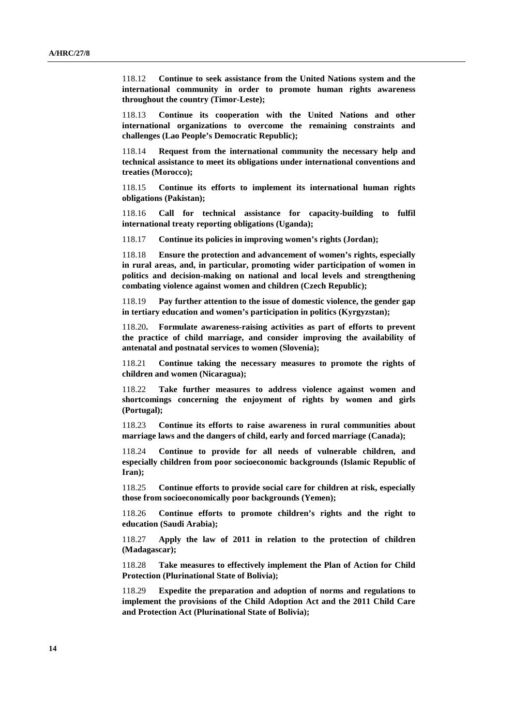118.12 **Continue to seek assistance from the United Nations system and the international community in order to promote human rights awareness throughout the country (Timor-Leste);** 

118.13 **Continue its cooperation with the United Nations and other international organizations to overcome the remaining constraints and challenges (Lao People's Democratic Republic);** 

118.14 **Request from the international community the necessary help and technical assistance to meet its obligations under international conventions and treaties (Morocco);** 

118.15 **Continue its efforts to implement its international human rights obligations (Pakistan);** 

118.16 **Call for technical assistance for capacity-building to fulfil international treaty reporting obligations (Uganda);** 

118.17 **Continue its policies in improving women's rights (Jordan);** 

118.18 **Ensure the protection and advancement of women's rights, especially in rural areas, and, in particular, promoting wider participation of women in politics and decision-making on national and local levels and strengthening combating violence against women and children (Czech Republic);** 

118.19 **Pay further attention to the issue of domestic violence, the gender gap in tertiary education and women's participation in politics (Kyrgyzstan);** 

118.20**. Formulate awareness-raising activities as part of efforts to prevent the practice of child marriage, and consider improving the availability of antenatal and postnatal services to women (Slovenia);** 

118.21 **Continue taking the necessary measures to promote the rights of children and women (Nicaragua);** 

118.22 **Take further measures to address violence against women and shortcomings concerning the enjoyment of rights by women and girls (Portugal);** 

118.23 **Continue its efforts to raise awareness in rural communities about marriage laws and the dangers of child, early and forced marriage (Canada);** 

118.24 **Continue to provide for all needs of vulnerable children, and especially children from poor socioeconomic backgrounds (Islamic Republic of Iran);** 

118.25 **Continue efforts to provide social care for children at risk, especially those from socioeconomically poor backgrounds (Yemen);** 

118.26 **Continue efforts to promote children's rights and the right to education (Saudi Arabia);** 

118.27 **Apply the law of 2011 in relation to the protection of children (Madagascar);** 

118.28 **Take measures to effectively implement the Plan of Action for Child Protection (Plurinational State of Bolivia);** 

118.29 **Expedite the preparation and adoption of norms and regulations to implement the provisions of the Child Adoption Act and the 2011 Child Care and Protection Act (Plurinational State of Bolivia);**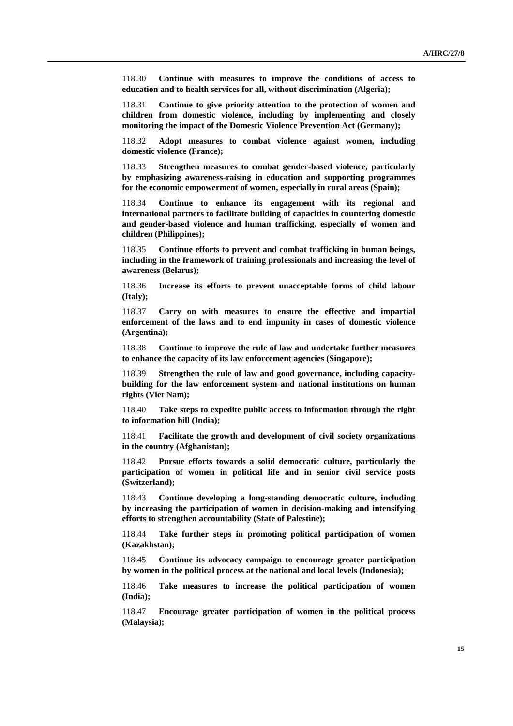118.30 **Continue with measures to improve the conditions of access to education and to health services for all, without discrimination (Algeria);** 

118.31 **Continue to give priority attention to the protection of women and children from domestic violence, including by implementing and closely monitoring the impact of the Domestic Violence Prevention Act (Germany);** 

118.32 **Adopt measures to combat violence against women, including domestic violence (France);** 

118.33 **Strengthen measures to combat gender-based violence, particularly by emphasizing awareness-raising in education and supporting programmes for the economic empowerment of women, especially in rural areas (Spain);** 

118.34 **Continue to enhance its engagement with its regional and international partners to facilitate building of capacities in countering domestic and gender-based violence and human trafficking, especially of women and children (Philippines);** 

118.35 **Continue efforts to prevent and combat trafficking in human beings, including in the framework of training professionals and increasing the level of awareness (Belarus);** 

118.36 **Increase its efforts to prevent unacceptable forms of child labour (Italy);** 

118.37 **Carry on with measures to ensure the effective and impartial enforcement of the laws and to end impunity in cases of domestic violence (Argentina);** 

118.38 **Continue to improve the rule of law and undertake further measures to enhance the capacity of its law enforcement agencies (Singapore);** 

118.39 **Strengthen the rule of law and good governance, including capacitybuilding for the law enforcement system and national institutions on human rights (Viet Nam);** 

118.40 **Take steps to expedite public access to information through the right to information bill (India);** 

118.41 **Facilitate the growth and development of civil society organizations in the country (Afghanistan);** 

118.42 **Pursue efforts towards a solid democratic culture, particularly the participation of women in political life and in senior civil service posts (Switzerland);** 

118.43 **Continue developing a long-standing democratic culture, including by increasing the participation of women in decision-making and intensifying efforts to strengthen accountability (State of Palestine);** 

118.44 **Take further steps in promoting political participation of women (Kazakhstan);** 

118.45 **Continue its advocacy campaign to encourage greater participation by women in the political process at the national and local levels (Indonesia);** 

118.46 **Take measures to increase the political participation of women (India);** 

118.47 **Encourage greater participation of women in the political process (Malaysia);**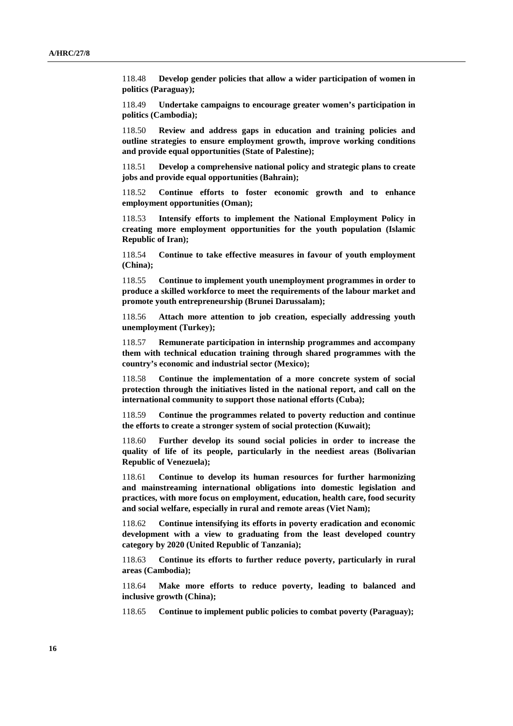118.48 **Develop gender policies that allow a wider participation of women in politics (Paraguay);** 

118.49 **Undertake campaigns to encourage greater women's participation in politics (Cambodia);** 

118.50 **Review and address gaps in education and training policies and outline strategies to ensure employment growth, improve working conditions and provide equal opportunities (State of Palestine);** 

118.51 **Develop a comprehensive national policy and strategic plans to create jobs and provide equal opportunities (Bahrain);** 

118.52 **Continue efforts to foster economic growth and to enhance employment opportunities (Oman);** 

118.53 **Intensify efforts to implement the National Employment Policy in creating more employment opportunities for the youth population (Islamic Republic of Iran);** 

118.54 **Continue to take effective measures in favour of youth employment (China);** 

118.55 **Continue to implement youth unemployment programmes in order to produce a skilled workforce to meet the requirements of the labour market and promote youth entrepreneurship (Brunei Darussalam);** 

118.56 **Attach more attention to job creation, especially addressing youth unemployment (Turkey);** 

118.57 **Remunerate participation in internship programmes and accompany them with technical education training through shared programmes with the country's economic and industrial sector (Mexico);** 

118.58 **Continue the implementation of a more concrete system of social protection through the initiatives listed in the national report, and call on the international community to support those national efforts (Cuba);** 

118.59 **Continue the programmes related to poverty reduction and continue the efforts to create a stronger system of social protection (Kuwait);** 

118.60 **Further develop its sound social policies in order to increase the quality of life of its people, particularly in the neediest areas (Bolivarian Republic of Venezuela);** 

118.61 **Continue to develop its human resources for further harmonizing and mainstreaming international obligations into domestic legislation and practices, with more focus on employment, education, health care, food security and social welfare, especially in rural and remote areas (Viet Nam);** 

118.62 **Continue intensifying its efforts in poverty eradication and economic development with a view to graduating from the least developed country category by 2020 (United Republic of Tanzania);** 

118.63 **Continue its efforts to further reduce poverty, particularly in rural areas (Cambodia);** 

118.64 **Make more efforts to reduce poverty, leading to balanced and inclusive growth (China);** 

118.65 **Continue to implement public policies to combat poverty (Paraguay);**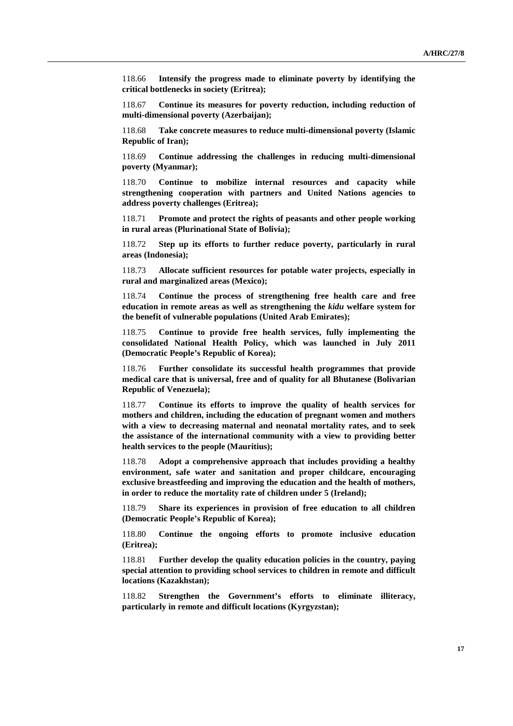118.66 **Intensify the progress made to eliminate poverty by identifying the critical bottlenecks in society (Eritrea);** 

118.67 **Continue its measures for poverty reduction, including reduction of multi-dimensional poverty (Azerbaijan);** 

118.68 **Take concrete measures to reduce multi-dimensional poverty (Islamic Republic of Iran);** 

118.69 **Continue addressing the challenges in reducing multi-dimensional poverty (Myanmar);** 

118.70 **Continue to mobilize internal resources and capacity while strengthening cooperation with partners and United Nations agencies to address poverty challenges (Eritrea);** 

118.71 **Promote and protect the rights of peasants and other people working in rural areas (Plurinational State of Bolivia);** 

118.72 **Step up its efforts to further reduce poverty, particularly in rural areas (Indonesia);** 

118.73 **Allocate sufficient resources for potable water projects, especially in rural and marginalized areas (Mexico);** 

118.74 **Continue the process of strengthening free health care and free education in remote areas as well as strengthening the** *kidu* **welfare system for the benefit of vulnerable populations (United Arab Emirates);** 

118.75 **Continue to provide free health services, fully implementing the consolidated National Health Policy, which was launched in July 2011 (Democratic People's Republic of Korea);** 

118.76 **Further consolidate its successful health programmes that provide medical care that is universal, free and of quality for all Bhutanese (Bolivarian Republic of Venezuela);** 

118.77 **Continue its efforts to improve the quality of health services for mothers and children, including the education of pregnant women and mothers with a view to decreasing maternal and neonatal mortality rates, and to seek the assistance of the international community with a view to providing better health services to the people (Mauritius);** 

118.78 **Adopt a comprehensive approach that includes providing a healthy environment, safe water and sanitation and proper childcare, encouraging exclusive breastfeeding and improving the education and the health of mothers, in order to reduce the mortality rate of children under 5 (Ireland);** 

118.79 **Share its experiences in provision of free education to all children (Democratic People's Republic of Korea);** 

118.80 **Continue the ongoing efforts to promote inclusive education (Eritrea);** 

118.81 **Further develop the quality education policies in the country, paying special attention to providing school services to children in remote and difficult locations (Kazakhstan);** 

118.82 **Strengthen the Government's efforts to eliminate illiteracy, particularly in remote and difficult locations (Kyrgyzstan);**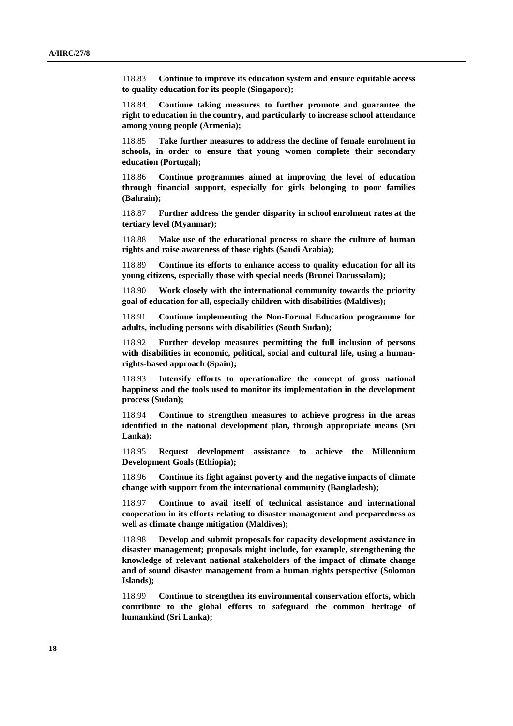118.83 **Continue to improve its education system and ensure equitable access to quality education for its people (Singapore);** 

118.84 **Continue taking measures to further promote and guarantee the right to education in the country, and particularly to increase school attendance among young people (Armenia);** 

118.85 **Take further measures to address the decline of female enrolment in schools, in order to ensure that young women complete their secondary education (Portugal);** 

118.86 **Continue programmes aimed at improving the level of education through financial support, especially for girls belonging to poor families (Bahrain);** 

118.87 **Further address the gender disparity in school enrolment rates at the tertiary level (Myanmar);** 

118.88 **Make use of the educational process to share the culture of human rights and raise awareness of those rights (Saudi Arabia);** 

118.89 **Continue its efforts to enhance access to quality education for all its young citizens, especially those with special needs (Brunei Darussalam);** 

118.90 **Work closely with the international community towards the priority goal of education for all, especially children with disabilities (Maldives);** 

118.91 **Continue implementing the Non-Formal Education programme for adults, including persons with disabilities (South Sudan);** 

118.92 **Further develop measures permitting the full inclusion of persons with disabilities in economic, political, social and cultural life, using a humanrights-based approach (Spain);** 

118.93 **Intensify efforts to operationalize the concept of gross national happiness and the tools used to monitor its implementation in the development process (Sudan);** 

118.94 **Continue to strengthen measures to achieve progress in the areas identified in the national development plan, through appropriate means (Sri Lanka);** 

118.95 **Request development assistance to achieve the Millennium Development Goals (Ethiopia);** 

118.96 **Continue its fight against poverty and the negative impacts of climate change with support from the international community (Bangladesh);** 

118.97 **Continue to avail itself of technical assistance and international cooperation in its efforts relating to disaster management and preparedness as well as climate change mitigation (Maldives);** 

118.98 **Develop and submit proposals for capacity development assistance in disaster management; proposals might include, for example, strengthening the knowledge of relevant national stakeholders of the impact of climate change and of sound disaster management from a human rights perspective (Solomon Islands);** 

118.99 **Continue to strengthen its environmental conservation efforts, which contribute to the global efforts to safeguard the common heritage of humankind (Sri Lanka);**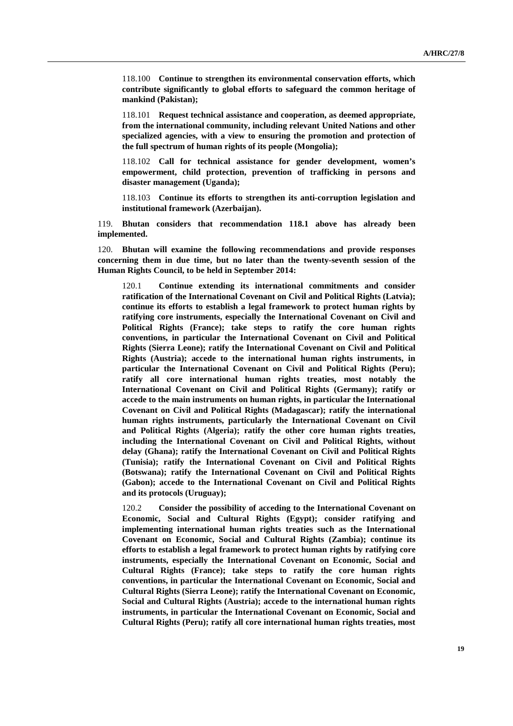118.100 **Continue to strengthen its environmental conservation efforts, which contribute significantly to global efforts to safeguard the common heritage of mankind (Pakistan);** 

118.101 **Request technical assistance and cooperation, as deemed appropriate, from the international community, including relevant United Nations and other specialized agencies, with a view to ensuring the promotion and protection of the full spectrum of human rights of its people (Mongolia);** 

118.102 **Call for technical assistance for gender development, women's empowerment, child protection, prevention of trafficking in persons and disaster management (Uganda);** 

118.103 **Continue its efforts to strengthen its anti-corruption legislation and institutional framework (Azerbaijan).** 

119. **Bhutan considers that recommendation 118.1 above has already been implemented.**

120. **Bhutan will examine the following recommendations and provide responses concerning them in due time, but no later than the twenty-seventh session of the Human Rights Council, to be held in September 2014:**

120.1 **Continue extending its international commitments and consider ratification of the International Covenant on Civil and Political Rights (Latvia); continue its efforts to establish a legal framework to protect human rights by ratifying core instruments, especially the International Covenant on Civil and Political Rights (France); take steps to ratify the core human rights conventions, in particular the International Covenant on Civil and Political Rights (Sierra Leone); ratify the International Covenant on Civil and Political Rights (Austria); accede to the international human rights instruments, in particular the International Covenant on Civil and Political Rights (Peru); ratify all core international human rights treaties, most notably the International Covenant on Civil and Political Rights (Germany); ratify or accede to the main instruments on human rights, in particular the International Covenant on Civil and Political Rights (Madagascar); ratify the international human rights instruments, particularly the International Covenant on Civil and Political Rights (Algeria); ratify the other core human rights treaties, including the International Covenant on Civil and Political Rights, without delay (Ghana); ratify the International Covenant on Civil and Political Rights (Tunisia); ratify the International Covenant on Civil and Political Rights (Botswana); ratify the International Covenant on Civil and Political Rights (Gabon); accede to the International Covenant on Civil and Political Rights and its protocols (Uruguay);** 

120.2 **Consider the possibility of acceding to the International Covenant on Economic, Social and Cultural Rights (Egypt); consider ratifying and implementing international human rights treaties such as the International Covenant on Economic, Social and Cultural Rights (Zambia); continue its efforts to establish a legal framework to protect human rights by ratifying core instruments, especially the International Covenant on Economic, Social and Cultural Rights (France); take steps to ratify the core human rights conventions, in particular the International Covenant on Economic, Social and Cultural Rights (Sierra Leone); ratify the International Covenant on Economic, Social and Cultural Rights (Austria); accede to the international human rights instruments, in particular the International Covenant on Economic, Social and Cultural Rights (Peru); ratify all core international human rights treaties, most**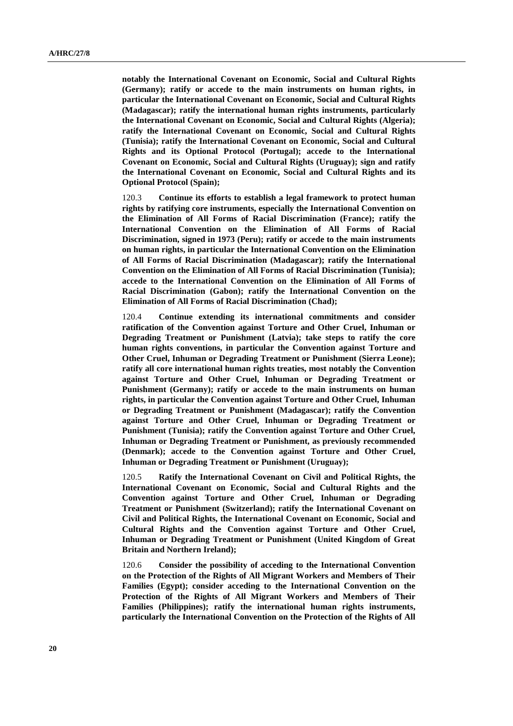**notably the International Covenant on Economic, Social and Cultural Rights (Germany); ratify or accede to the main instruments on human rights, in particular the International Covenant on Economic, Social and Cultural Rights (Madagascar); ratify the international human rights instruments, particularly the International Covenant on Economic, Social and Cultural Rights (Algeria); ratify the International Covenant on Economic, Social and Cultural Rights (Tunisia); ratify the International Covenant on Economic, Social and Cultural Rights and its Optional Protocol (Portugal); accede to the International Covenant on Economic, Social and Cultural Rights (Uruguay); sign and ratify the International Covenant on Economic, Social and Cultural Rights and its Optional Protocol (Spain);** 

120.3 **Continue its efforts to establish a legal framework to protect human rights by ratifying core instruments, especially the International Convention on the Elimination of All Forms of Racial Discrimination (France); ratify the International Convention on the Elimination of All Forms of Racial Discrimination, signed in 1973 (Peru); ratify or accede to the main instruments on human rights, in particular the International Convention on the Elimination of All Forms of Racial Discrimination (Madagascar); ratify the International Convention on the Elimination of All Forms of Racial Discrimination (Tunisia); accede to the International Convention on the Elimination of All Forms of Racial Discrimination (Gabon); ratify the International Convention on the Elimination of All Forms of Racial Discrimination (Chad);** 

120.4 **Continue extending its international commitments and consider ratification of the Convention against Torture and Other Cruel, Inhuman or Degrading Treatment or Punishment (Latvia); take steps to ratify the core human rights conventions, in particular the Convention against Torture and Other Cruel, Inhuman or Degrading Treatment or Punishment (Sierra Leone); ratify all core international human rights treaties, most notably the Convention against Torture and Other Cruel, Inhuman or Degrading Treatment or Punishment (Germany); ratify or accede to the main instruments on human rights, in particular the Convention against Torture and Other Cruel, Inhuman or Degrading Treatment or Punishment (Madagascar); ratify the Convention against Torture and Other Cruel, Inhuman or Degrading Treatment or Punishment (Tunisia); ratify the Convention against Torture and Other Cruel, Inhuman or Degrading Treatment or Punishment, as previously recommended (Denmark); accede to the Convention against Torture and Other Cruel, Inhuman or Degrading Treatment or Punishment (Uruguay);** 

120.5 **Ratify the International Covenant on Civil and Political Rights, the International Covenant on Economic, Social and Cultural Rights and the Convention against Torture and Other Cruel, Inhuman or Degrading Treatment or Punishment (Switzerland); ratify the International Covenant on Civil and Political Rights, the International Covenant on Economic, Social and Cultural Rights and the Convention against Torture and Other Cruel, Inhuman or Degrading Treatment or Punishment (United Kingdom of Great Britain and Northern Ireland);** 

120.6 **Consider the possibility of acceding to the International Convention on the Protection of the Rights of All Migrant Workers and Members of Their Families (Egypt); consider acceding to the International Convention on the Protection of the Rights of All Migrant Workers and Members of Their Families (Philippines); ratify the international human rights instruments, particularly the International Convention on the Protection of the Rights of All**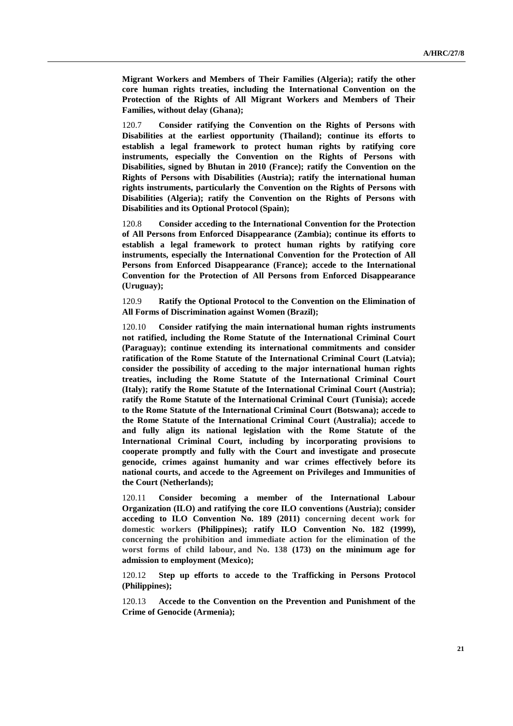**Migrant Workers and Members of Their Families (Algeria); ratify the other core human rights treaties, including the International Convention on the Protection of the Rights of All Migrant Workers and Members of Their Families, without delay (Ghana);** 

120.7 **Consider ratifying the Convention on the Rights of Persons with Disabilities at the earliest opportunity (Thailand); continue its efforts to establish a legal framework to protect human rights by ratifying core instruments, especially the Convention on the Rights of Persons with Disabilities, signed by Bhutan in 2010 (France); ratify the Convention on the Rights of Persons with Disabilities (Austria); ratify the international human rights instruments, particularly the Convention on the Rights of Persons with Disabilities (Algeria); ratify the Convention on the Rights of Persons with Disabilities and its Optional Protocol (Spain);** 

120.8 **Consider acceding to the International Convention for the Protection of All Persons from Enforced Disappearance (Zambia); continue its efforts to establish a legal framework to protect human rights by ratifying core instruments, especially the International Convention for the Protection of All Persons from Enforced Disappearance (France); accede to the International Convention for the Protection of All Persons from Enforced Disappearance (Uruguay);** 

120.9 **Ratify the Optional Protocol to the Convention on the Elimination of All Forms of Discrimination against Women (Brazil);** 

120.10 **Consider ratifying the main international human rights instruments not ratified, including the Rome Statute of the International Criminal Court (Paraguay); continue extending its international commitments and consider ratification of the Rome Statute of the International Criminal Court (Latvia); consider the possibility of acceding to the major international human rights treaties, including the Rome Statute of the International Criminal Court (Italy); ratify the Rome Statute of the International Criminal Court (Austria); ratify the Rome Statute of the International Criminal Court (Tunisia); accede to the Rome Statute of the International Criminal Court (Botswana); accede to the Rome Statute of the International Criminal Court (Australia); accede to and fully align its national legislation with the Rome Statute of the International Criminal Court, including by incorporating provisions to cooperate promptly and fully with the Court and investigate and prosecute genocide, crimes against humanity and war crimes effectively before its national courts, and accede to the Agreement on Privileges and Immunities of the Court (Netherlands);** 

120.11 **Consider becoming a member of the International Labour Organization (ILO) and ratifying the core ILO conventions (Austria); consider acceding to ILO Convention No. 189 (2011) concerning decent work for domestic workers (Philippines); ratify ILO Convention No. 182 (1999), concerning the prohibition and immediate action for the elimination of the worst forms of child labour, and No. 138 (173) on the minimum age for admission to employment (Mexico);** 

120.12 **Step up efforts to accede to the Trafficking in Persons Protocol (Philippines);** 

120.13 **Accede to the Convention on the Prevention and Punishment of the Crime of Genocide (Armenia);**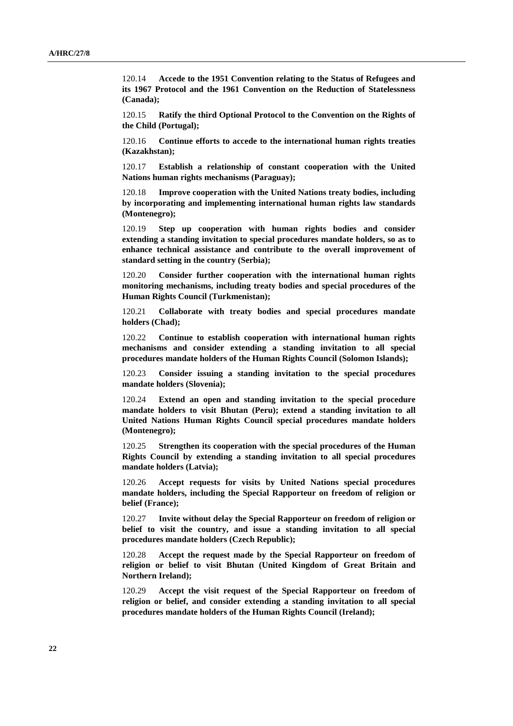120.14 **Accede to the 1951 Convention relating to the Status of Refugees and its 1967 Protocol and the 1961 Convention on the Reduction of Statelessness (Canada);** 

120.15 **Ratify the third Optional Protocol to the Convention on the Rights of the Child (Portugal);** 

120.16 **Continue efforts to accede to the international human rights treaties (Kazakhstan);** 

120.17 **Establish a relationship of constant cooperation with the United Nations human rights mechanisms (Paraguay);** 

120.18 **Improve cooperation with the United Nations treaty bodies, including by incorporating and implementing international human rights law standards (Montenegro);** 

120.19 **Step up cooperation with human rights bodies and consider extending a standing invitation to special procedures mandate holders, so as to enhance technical assistance and contribute to the overall improvement of standard setting in the country (Serbia);** 

120.20 **Consider further cooperation with the international human rights monitoring mechanisms, including treaty bodies and special procedures of the Human Rights Council (Turkmenistan);** 

120.21 **Collaborate with treaty bodies and special procedures mandate holders (Chad);** 

120.22 **Continue to establish cooperation with international human rights mechanisms and consider extending a standing invitation to all special procedures mandate holders of the Human Rights Council (Solomon Islands);** 

120.23 **Consider issuing a standing invitation to the special procedures mandate holders (Slovenia);** 

120.24 **Extend an open and standing invitation to the special procedure mandate holders to visit Bhutan (Peru); extend a standing invitation to all United Nations Human Rights Council special procedures mandate holders (Montenegro);** 

120.25 **Strengthen its cooperation with the special procedures of the Human Rights Council by extending a standing invitation to all special procedures mandate holders (Latvia);** 

120.26 **Accept requests for visits by United Nations special procedures mandate holders, including the Special Rapporteur on freedom of religion or belief (France);** 

120.27 **Invite without delay the Special Rapporteur on freedom of religion or belief to visit the country, and issue a standing invitation to all special procedures mandate holders (Czech Republic);** 

120.28 **Accept the request made by the Special Rapporteur on freedom of religion or belief to visit Bhutan (United Kingdom of Great Britain and Northern Ireland);** 

120.29 **Accept the visit request of the Special Rapporteur on freedom of religion or belief, and consider extending a standing invitation to all special procedures mandate holders of the Human Rights Council (Ireland);**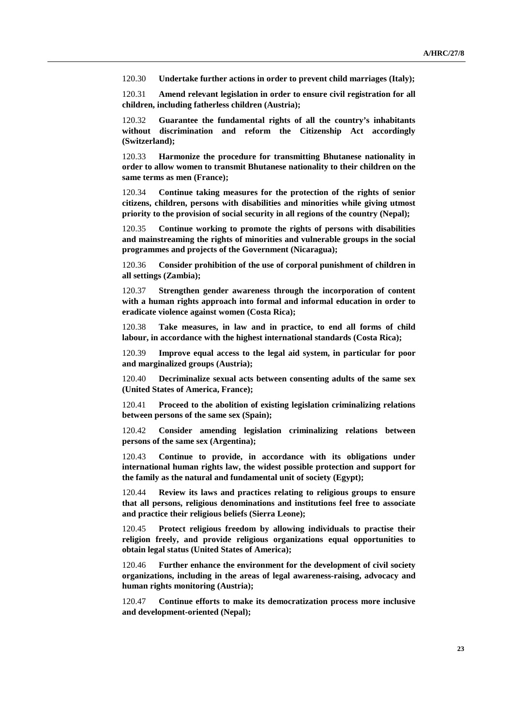120.30 **Undertake further actions in order to prevent child marriages (Italy);** 

120.31 **Amend relevant legislation in order to ensure civil registration for all children, including fatherless children (Austria);** 

120.32 **Guarantee the fundamental rights of all the country's inhabitants without discrimination and reform the Citizenship Act accordingly (Switzerland);** 

120.33 **Harmonize the procedure for transmitting Bhutanese nationality in order to allow women to transmit Bhutanese nationality to their children on the same terms as men (France);** 

120.34 **Continue taking measures for the protection of the rights of senior citizens, children, persons with disabilities and minorities while giving utmost priority to the provision of social security in all regions of the country (Nepal);** 

120.35 **Continue working to promote the rights of persons with disabilities and mainstreaming the rights of minorities and vulnerable groups in the social programmes and projects of the Government (Nicaragua);** 

120.36 **Consider prohibition of the use of corporal punishment of children in all settings (Zambia);** 

120.37 **Strengthen gender awareness through the incorporation of content with a human rights approach into formal and informal education in order to eradicate violence against women (Costa Rica);** 

120.38 **Take measures, in law and in practice, to end all forms of child labour, in accordance with the highest international standards (Costa Rica);** 

120.39 **Improve equal access to the legal aid system, in particular for poor and marginalized groups (Austria);** 

120.40 **Decriminalize sexual acts between consenting adults of the same sex (United States of America, France);** 

120.41 **Proceed to the abolition of existing legislation criminalizing relations between persons of the same sex (Spain);** 

120.42 **Consider amending legislation criminalizing relations between persons of the same sex (Argentina);** 

120.43 **Continue to provide, in accordance with its obligations under international human rights law, the widest possible protection and support for the family as the natural and fundamental unit of society (Egypt);** 

120.44 **Review its laws and practices relating to religious groups to ensure that all persons, religious denominations and institutions feel free to associate and practice their religious beliefs (Sierra Leone);** 

120.45 **Protect religious freedom by allowing individuals to practise their religion freely, and provide religious organizations equal opportunities to obtain legal status (United States of America);** 

120.46 **Further enhance the environment for the development of civil society organizations, including in the areas of legal awareness-raising, advocacy and human rights monitoring (Austria);** 

120.47 **Continue efforts to make its democratization process more inclusive and development-oriented (Nepal);**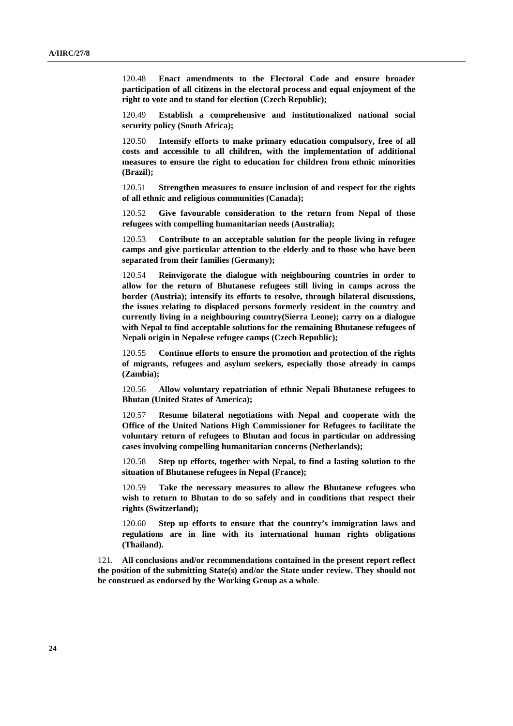120.48 **Enact amendments to the Electoral Code and ensure broader participation of all citizens in the electoral process and equal enjoyment of the right to vote and to stand for election (Czech Republic);** 

120.49 **Establish a comprehensive and institutionalized national social security policy (South Africa);** 

120.50 **Intensify efforts to make primary education compulsory, free of all costs and accessible to all children, with the implementation of additional measures to ensure the right to education for children from ethnic minorities (Brazil);** 

120.51 **Strengthen measures to ensure inclusion of and respect for the rights of all ethnic and religious communities (Canada);** 

120.52 **Give favourable consideration to the return from Nepal of those refugees with compelling humanitarian needs (Australia);** 

120.53 **Contribute to an acceptable solution for the people living in refugee camps and give particular attention to the elderly and to those who have been separated from their families (Germany);** 

120.54 **Reinvigorate the dialogue with neighbouring countries in order to allow for the return of Bhutanese refugees still living in camps across the border (Austria); intensify its efforts to resolve, through bilateral discussions, the issues relating to displaced persons formerly resident in the country and currently living in a neighbouring country(Sierra Leone); carry on a dialogue with Nepal to find acceptable solutions for the remaining Bhutanese refugees of Nepali origin in Nepalese refugee camps (Czech Republic);** 

120.55 **Continue efforts to ensure the promotion and protection of the rights of migrants, refugees and asylum seekers, especially those already in camps (Zambia);** 

120.56 **Allow voluntary repatriation of ethnic Nepali Bhutanese refugees to Bhutan (United States of America);** 

120.57 **Resume bilateral negotiations with Nepal and cooperate with the Office of the United Nations High Commissioner for Refugees to facilitate the voluntary return of refugees to Bhutan and focus in particular on addressing cases involving compelling humanitarian concerns (Netherlands);** 

120.58 **Step up efforts, together with Nepal, to find a lasting solution to the situation of Bhutanese refugees in Nepal (France);** 

120.59 **Take the necessary measures to allow the Bhutanese refugees who wish to return to Bhutan to do so safely and in conditions that respect their rights (Switzerland);** 

120.60 **Step up efforts to ensure that the country's immigration laws and regulations are in line with its international human rights obligations (Thailand).** 

121. **All conclusions and/or recommendations contained in the present report reflect the position of the submitting State(s) and/or the State under review. They should not be construed as endorsed by the Working Group as a whole**.